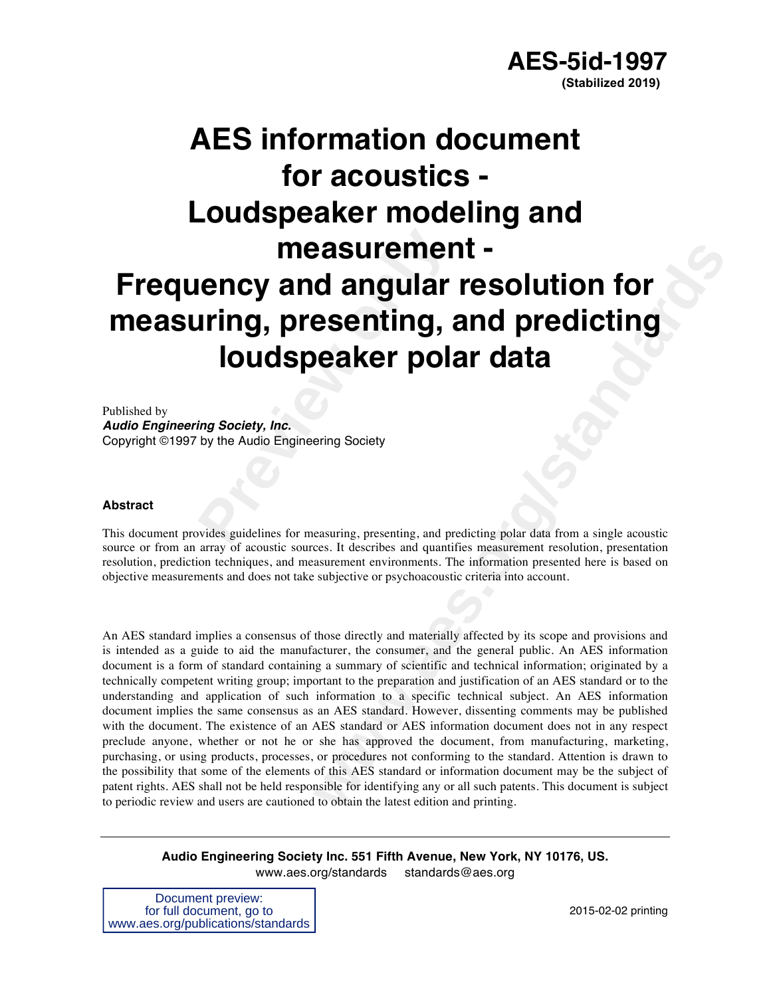# **Preview of angular<br>
<b>Preview Angular**<br> **Preview Addio Engineering Society**<br> **Preview Angle Engineering Society**<br> **Proper Angle Engineering Society**<br> **Proper Angle Engineering Society**<br> **Proper Angle Screed Screed Screed S AES information document for acoustics - Loudspeaker modeling and measurement - Frequency and angular resolution for measuring, presenting, and predicting loudspeaker polar data**

Published by *Audio Engineering Society, Inc.*  Copyright ©1997 by the Audio Engineering Society

#### **Abstract**

This document provides guidelines for measuring, presenting, and predicting polar data from a single acoustic source or from an array of acoustic sources. It describes and quantifies measurement resolution, presentation resolution, prediction techniques, and measurement environments. The information presented here is based on objective measurements and does not take subjective or psychoacoustic criteria into account.

**example the Columbiation of the Columbiation of the SCI of the SCI of the SCI of the SCI of the SCI of the SCI of the SCI of the SCI of the SCI of the SCI of the SCI of the SCI of the SCI standard of the SCI standard of t** An AES standard implies a consensus of those directly and materially affected by its scope and provisions and is intended as a guide to aid the manufacturer, the consumer, and the general public. An AES information document is a form of standard containing a summary of scientific and technical information; originated by a technically competent writing group; important to the preparation and justification of an AES standard or to the understanding and application of such information to a specific technical subject. An AES information document implies the same consensus as an AES standard. However, dissenting comments may be published with the document. The existence of an AES standard or AES information document does not in any respect preclude anyone, whether or not he or she has approved the document, from manufacturing, marketing, purchasing, or using products, processes, or procedures not conforming to the standard. Attention is drawn to the possibility that some of the elements of this AES standard or information document may be the subject of patent rights. AES shall not be held responsible for identifying any or all such patents. This document is subject to periodic review and users are cautioned to obtain the latest edition and printing.

**Audio Engineering Society Inc. 551 Fifth Avenue, New York, NY 10176, US.** www.aes.org/standards standards@aes.org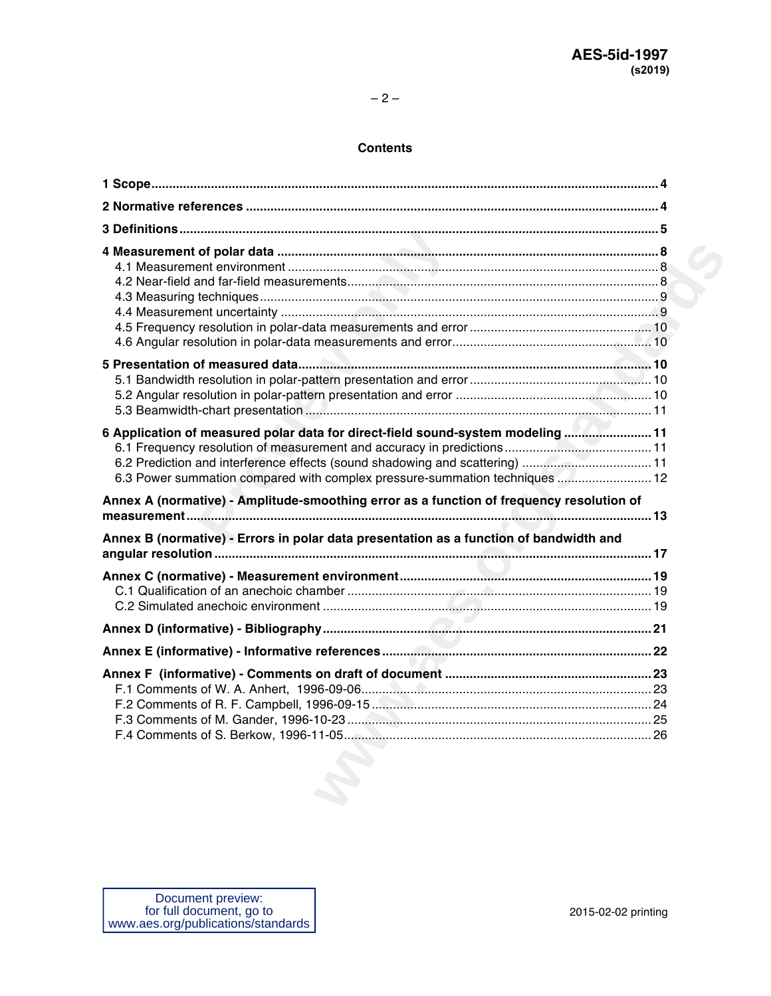### **Contents**

| 6 Application of measured polar data for direct-field sound-system modeling  11<br>6.3 Power summation compared with complex pressure-summation techniques  12 |  |
|----------------------------------------------------------------------------------------------------------------------------------------------------------------|--|
| Annex A (normative) - Amplitude-smoothing error as a function of frequency resolution of                                                                       |  |
| Annex B (normative) - Errors in polar data presentation as a function of bandwidth and                                                                         |  |
|                                                                                                                                                                |  |
|                                                                                                                                                                |  |
|                                                                                                                                                                |  |
|                                                                                                                                                                |  |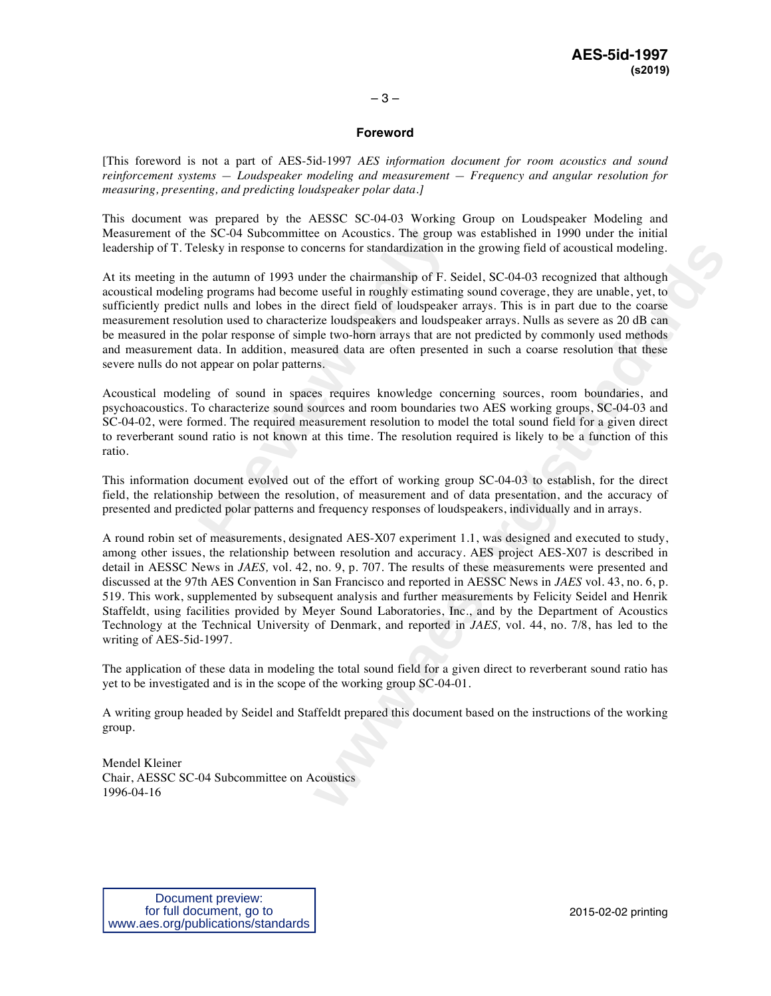#### **Foreword**

[This foreword is not a part of AES-5id-1997 *AES information document for room acoustics and sound reinforcement systems — Loudspeaker modeling and measurement — Frequency and angular resolution for measuring, presenting, and predicting loudspeaker polar data.]*

This document was prepared by the AESSC SC-04-03 Working Group on Loudspeaker Modeling and Measurement of the SC-04 Subcommittee on Acoustics. The group was established in 1990 under the initial leadership of T. Telesky in response to concerns for standardization in the growing field of acoustical modeling.

ie SC-04 Subcommittee on Acoustics. The group lesky in response to concerns for standardization in<br>he autumn of 1993 under the chairmanship of F. S<br>g programs had become useful in roughly estimatin<br>t nulls and lobes in the At its meeting in the autumn of 1993 under the chairmanship of F. Seidel, SC-04-03 recognized that although acoustical modeling programs had become useful in roughly estimating sound coverage, they are unable, yet, to sufficiently predict nulls and lobes in the direct field of loudspeaker arrays. This is in part due to the coarse measurement resolution used to characterize loudspeakers and loudspeaker arrays. Nulls as severe as 20 dB can be measured in the polar response of simple two-horn arrays that are not predicted by commonly used methods and measurement data. In addition, measured data are often presented in such a coarse resolution that these severe nulls do not appear on polar patterns.

Acoustical modeling of sound in spaces requires knowledge concerning sources, room boundaries, and psychoacoustics. To characterize sound sources and room boundaries two AES working groups, SC-04-03 and SC-04-02, were formed. The required measurement resolution to model the total sound field for a given direct to reverberant sound ratio is not known at this time. The resolution required is likely to be a function of this ratio.

This information document evolved out of the effort of working group SC-04-03 to establish, for the direct field, the relationship between the resolution, of measurement and of data presentation, and the accuracy of presented and predicted polar patterns and frequency responses of loudspeakers, individually and in arrays.

necrns for standardization in the growing field of acoustical modeling.<br>
ther the chairmanship of F. Scidel, SC-04-03 recognized that although<br>
the useful in roughly scittanting sound coverage, they are unable, yet, to<br>
di A round robin set of measurements, designated AES-X07 experiment 1.1, was designed and executed to study, among other issues, the relationship between resolution and accuracy. AES project AES-X07 is described in detail in AESSC News in *JAES,* vol. 42, no. 9, p. 707. The results of these measurements were presented and discussed at the 97th AES Convention in San Francisco and reported in AESSC News in *JAES* vol. 43, no. 6, p. 519. This work, supplemented by subsequent analysis and further measurements by Felicity Seidel and Henrik Staffeldt, using facilities provided by Meyer Sound Laboratories, Inc., and by the Department of Acoustics Technology at the Technical University of Denmark, and reported in *JAES,* vol. 44, no. 7/8, has led to the writing of AES-5id-1997.

The application of these data in modeling the total sound field for a given direct to reverberant sound ratio has yet to be investigated and is in the scope of the working group SC-04-01.

A writing group headed by Seidel and Staffeldt prepared this document based on the instructions of the working group.

Mendel Kleiner Chair, AESSC SC-04 Subcommittee on Acoustics 1996-04-16

2015-02-02 printing